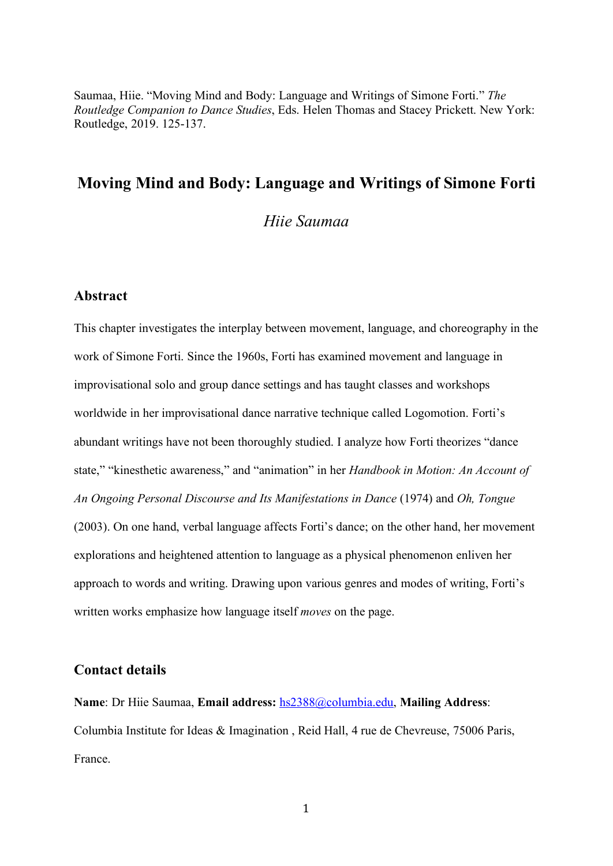Saumaa, Hiie. "Moving Mind and Body: Language and Writings of Simone Forti." *The Routledge Companion to Dance Studies*, Eds. Helen Thomas and Stacey Prickett. New York: Routledge, 2019. 125-137.

# **Moving Mind and Body: Language and Writings of Simone Forti**

*Hiie Saumaa* 

### **Abstract**

This chapter investigates the interplay between movement, language, and choreography in the work of Simone Forti. Since the 1960s, Forti has examined movement and language in improvisational solo and group dance settings and has taught classes and workshops worldwide in her improvisational dance narrative technique called Logomotion. Forti's abundant writings have not been thoroughly studied. I analyze how Forti theorizes "dance state," "kinesthetic awareness," and "animation" in her *Handbook in Motion: An Account of An Ongoing Personal Discourse and Its Manifestations in Dance* (1974) and *Oh, Tongue* (2003). On one hand, verbal language affects Forti's dance; on the other hand, her movement explorations and heightened attention to language as a physical phenomenon enliven her approach to words and writing. Drawing upon various genres and modes of writing, Forti's written works emphasize how language itself *moves* on the page.

#### **Contact details**

**Name**: Dr Hiie Saumaa, **Email address:** hs2388@columbia.edu, **Mailing Address**: Columbia Institute for Ideas & Imagination , Reid Hall, 4 rue de Chevreuse, 75006 Paris, France.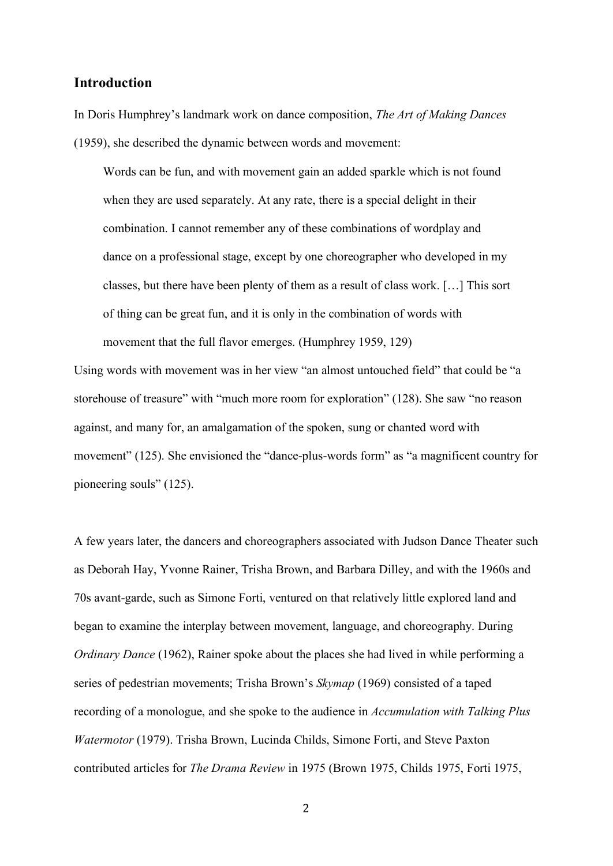#### **Introduction**

In Doris Humphrey's landmark work on dance composition, *The Art of Making Dances* (1959), she described the dynamic between words and movement:

Words can be fun, and with movement gain an added sparkle which is not found when they are used separately. At any rate, there is a special delight in their combination. I cannot remember any of these combinations of wordplay and dance on a professional stage, except by one choreographer who developed in my classes, but there have been plenty of them as a result of class work. […] This sort of thing can be great fun, and it is only in the combination of words with movement that the full flavor emerges. (Humphrey 1959, 129)

Using words with movement was in her view "an almost untouched field" that could be "a storehouse of treasure" with "much more room for exploration" (128). She saw "no reason against, and many for, an amalgamation of the spoken, sung or chanted word with movement" (125). She envisioned the "dance-plus-words form" as "a magnificent country for pioneering souls" (125).

A few years later, the dancers and choreographers associated with Judson Dance Theater such as Deborah Hay, Yvonne Rainer, Trisha Brown, and Barbara Dilley, and with the 1960s and 70s avant-garde, such as Simone Forti, ventured on that relatively little explored land and began to examine the interplay between movement, language, and choreography. During *Ordinary Dance* (1962), Rainer spoke about the places she had lived in while performing a series of pedestrian movements; Trisha Brown's *Skymap* (1969) consisted of a taped recording of a monologue, and she spoke to the audience in *Accumulation with Talking Plus Watermotor* (1979). Trisha Brown, Lucinda Childs, Simone Forti, and Steve Paxton contributed articles for *The Drama Review* in 1975 (Brown 1975, Childs 1975, Forti 1975,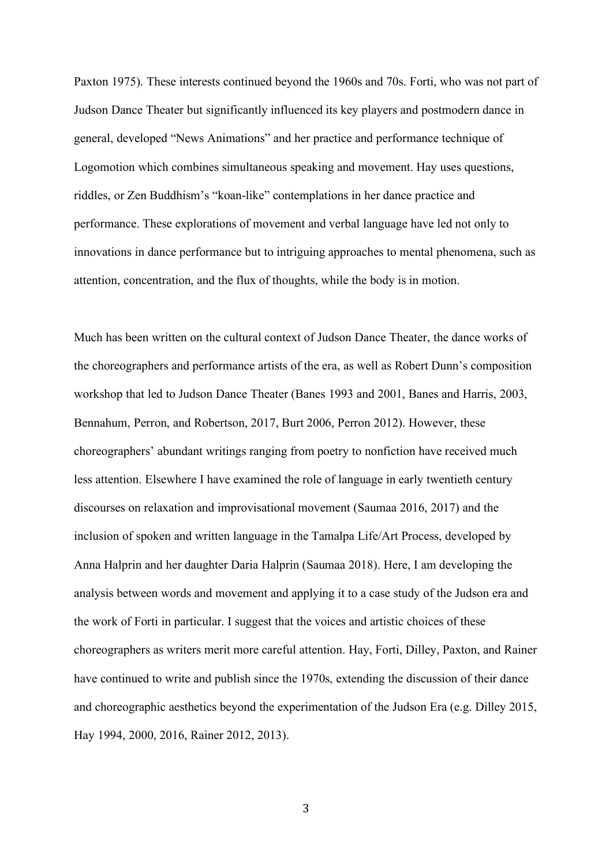Paxton 1975). These interests continued beyond the 1960s and 70s. Forti, who was not part of Judson Dance Theater but significantly influenced its key players and postmodern dance in general, developed "News Animations" and her practice and performance technique of Logomotion which combines simultaneous speaking and movement. Hay uses questions, riddles, or Zen Buddhism's "koan-like" contemplations in her dance practice and performance. These explorations of movement and verbal language have led not only to innovations in dance performance but to intriguing approaches to mental phenomena, such as attention, concentration, and the flux of thoughts, while the body is in motion.

Much has been written on the cultural context of Judson Dance Theater, the dance works of the choreographers and performance artists of the era, as well as Robert Dunn's composition workshop that led to Judson Dance Theater (Banes 1993 and 2001, Banes and Harris, 2003, Bennahum, Perron, and Robertson, 2017, Burt 2006, Perron 2012). However, these choreographers' abundant writings ranging from poetry to nonfiction have received much less attention. Elsewhere I have examined the role of language in early twentieth century discourses on relaxation and improvisational movement (Saumaa 2016, 2017) and the inclusion of spoken and written language in the Tamalpa Life/Art Process, developed by Anna Halprin and her daughter Daria Halprin (Saumaa 2018). Here, I am developing the analysis between words and movement and applying it to a case study of the Judson era and the work of Forti in particular. I suggest that the voices and artistic choices of these choreographers as writers merit more careful attention. Hay, Forti, Dilley, Paxton, and Rainer have continued to write and publish since the 1970s, extending the discussion of their dance and choreographic aesthetics beyond the experimentation of the Judson Era (e.g. Dilley 2015, Hay 1994, 2000, 2016, Rainer 2012, 2013).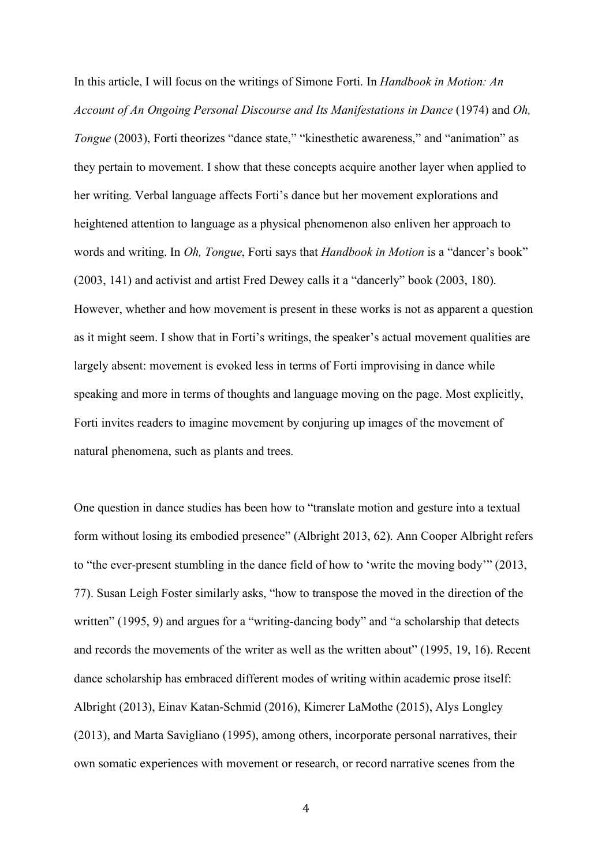In this article, I will focus on the writings of Simone Forti. In *Handbook in Motion: An Account of An Ongoing Personal Discourse and Its Manifestations in Dance* (1974) and *Oh, Tongue* (2003), Forti theorizes "dance state," "kinesthetic awareness," and "animation" as they pertain to movement. I show that these concepts acquire another layer when applied to her writing. Verbal language affects Forti's dance but her movement explorations and heightened attention to language as a physical phenomenon also enliven her approach to words and writing. In *Oh, Tongue*, Forti says that *Handbook in Motion* is a "dancer's book" (2003, 141) and activist and artist Fred Dewey calls it a "dancerly" book (2003, 180). However, whether and how movement is present in these works is not as apparent a question as it might seem. I show that in Forti's writings, the speaker's actual movement qualities are largely absent: movement is evoked less in terms of Forti improvising in dance while speaking and more in terms of thoughts and language moving on the page. Most explicitly, Forti invites readers to imagine movement by conjuring up images of the movement of natural phenomena, such as plants and trees.

One question in dance studies has been how to "translate motion and gesture into a textual form without losing its embodied presence" (Albright 2013, 62). Ann Cooper Albright refers to "the ever-present stumbling in the dance field of how to 'write the moving body'" (2013, 77). Susan Leigh Foster similarly asks, "how to transpose the moved in the direction of the written" (1995, 9) and argues for a "writing-dancing body" and "a scholarship that detects and records the movements of the writer as well as the written about" (1995, 19, 16). Recent dance scholarship has embraced different modes of writing within academic prose itself: Albright (2013), Einav Katan-Schmid (2016), Kimerer LaMothe (2015), Alys Longley (2013), and Marta Savigliano (1995), among others, incorporate personal narratives, their own somatic experiences with movement or research, or record narrative scenes from the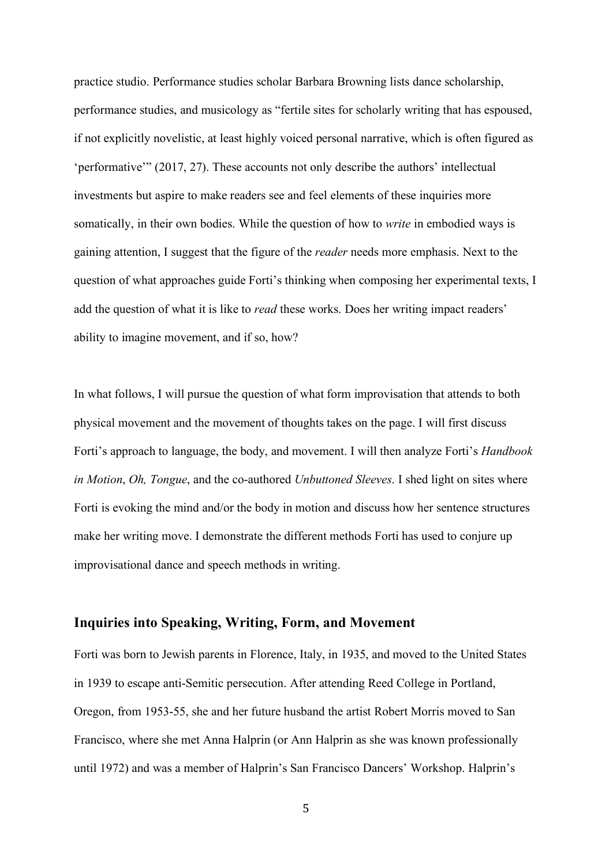practice studio. Performance studies scholar Barbara Browning lists dance scholarship, performance studies, and musicology as "fertile sites for scholarly writing that has espoused, if not explicitly novelistic, at least highly voiced personal narrative, which is often figured as 'performative'" (2017, 27). These accounts not only describe the authors' intellectual investments but aspire to make readers see and feel elements of these inquiries more somatically, in their own bodies. While the question of how to *write* in embodied ways is gaining attention, I suggest that the figure of the *reader* needs more emphasis. Next to the question of what approaches guide Forti's thinking when composing her experimental texts, I add the question of what it is like to *read* these works. Does her writing impact readers' ability to imagine movement, and if so, how?

In what follows, I will pursue the question of what form improvisation that attends to both physical movement and the movement of thoughts takes on the page. I will first discuss Forti's approach to language, the body, and movement. I will then analyze Forti's *Handbook in Motion*, *Oh, Tongue*, and the co-authored *Unbuttoned Sleeves*. I shed light on sites where Forti is evoking the mind and/or the body in motion and discuss how her sentence structures make her writing move. I demonstrate the different methods Forti has used to conjure up improvisational dance and speech methods in writing.

#### **Inquiries into Speaking, Writing, Form, and Movement**

Forti was born to Jewish parents in Florence, Italy, in 1935, and moved to the United States in 1939 to escape anti-Semitic persecution. After attending Reed College in Portland, Oregon, from 1953-55, she and her future husband the artist Robert Morris moved to San Francisco, where she met Anna Halprin (or Ann Halprin as she was known professionally until 1972) and was a member of Halprin's San Francisco Dancers' Workshop. Halprin's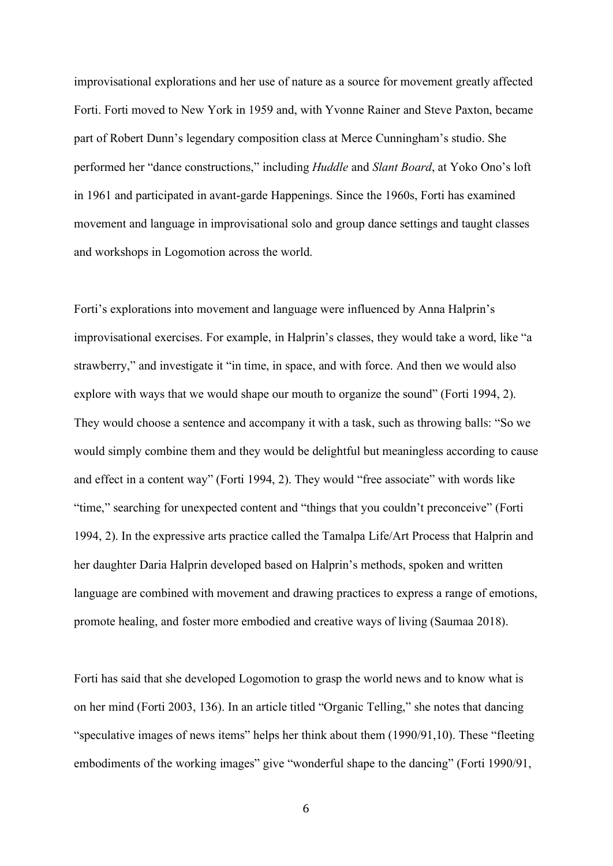improvisational explorations and her use of nature as a source for movement greatly affected Forti. Forti moved to New York in 1959 and, with Yvonne Rainer and Steve Paxton, became part of Robert Dunn's legendary composition class at Merce Cunningham's studio. She performed her "dance constructions," including *Huddle* and *Slant Board*, at Yoko Ono's loft in 1961 and participated in avant-garde Happenings. Since the 1960s, Forti has examined movement and language in improvisational solo and group dance settings and taught classes and workshops in Logomotion across the world.

Forti's explorations into movement and language were influenced by Anna Halprin's improvisational exercises. For example, in Halprin's classes, they would take a word, like "a strawberry," and investigate it "in time, in space, and with force. And then we would also explore with ways that we would shape our mouth to organize the sound" (Forti 1994, 2). They would choose a sentence and accompany it with a task, such as throwing balls: "So we would simply combine them and they would be delightful but meaningless according to cause and effect in a content way" (Forti 1994, 2). They would "free associate" with words like "time," searching for unexpected content and "things that you couldn't preconceive" (Forti 1994, 2). In the expressive arts practice called the Tamalpa Life/Art Process that Halprin and her daughter Daria Halprin developed based on Halprin's methods, spoken and written language are combined with movement and drawing practices to express a range of emotions, promote healing, and foster more embodied and creative ways of living (Saumaa 2018).

Forti has said that she developed Logomotion to grasp the world news and to know what is on her mind (Forti 2003, 136). In an article titled "Organic Telling," she notes that dancing "speculative images of news items" helps her think about them (1990/91,10). These "fleeting embodiments of the working images" give "wonderful shape to the dancing" (Forti 1990/91,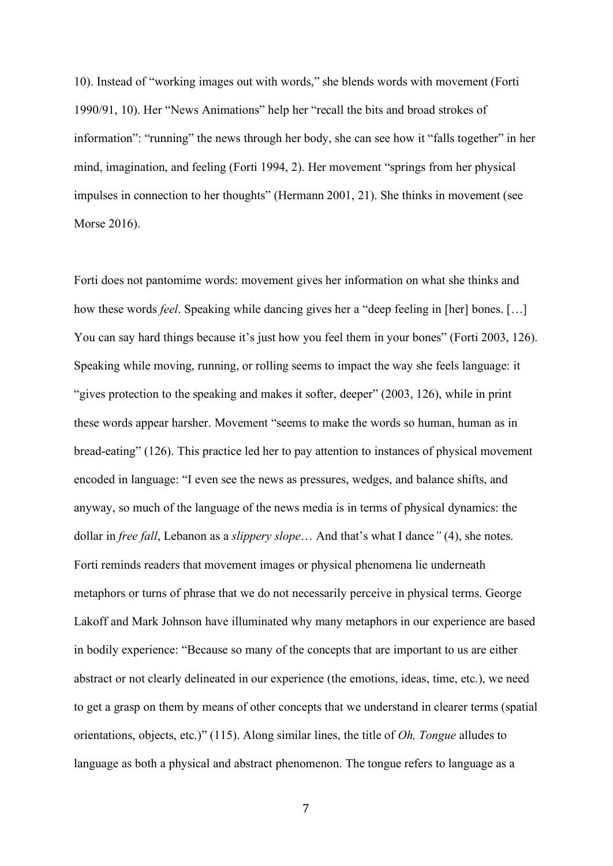10). Instead of "working images out with words," she blends words with movement (Forti 1990/91, 10). Her "News Animations" help her "recall the bits and broad strokes of information": "running" the news through her body, she can see how it "falls together" in her mind, imagination, and feeling (Forti 1994, 2). Her movement "springs from her physical impulses in connection to her thoughts" (Hermann 2001, 21). She thinks in movement (see Morse 2016).

Forti does not pantomime words: movement gives her information on what she thinks and how these words *feel*. Speaking while dancing gives her a "deep feeling in [her] bones. […] You can say hard things because it's just how you feel them in your bones" (Forti 2003, 126). Speaking while moving, running, or rolling seems to impact the way she feels language: it "gives protection to the speaking and makes it softer, deeper" (2003, 126), while in print these words appear harsher. Movement "seems to make the words so human, human as in bread-eating" (126). This practice led her to pay attention to instances of physical movement encoded in language: "I even see the news as pressures, wedges, and balance shifts, and anyway, so much of the language of the news media is in terms of physical dynamics: the dollar in *free fall*, Lebanon as a *slippery slope*… And that's what I dance*"* (4), she notes. Forti reminds readers that movement images or physical phenomena lie underneath metaphors or turns of phrase that we do not necessarily perceive in physical terms. George Lakoff and Mark Johnson have illuminated why many metaphors in our experience are based in bodily experience: "Because so many of the concepts that are important to us are either abstract or not clearly delineated in our experience (the emotions, ideas, time, etc.), we need to get a grasp on them by means of other concepts that we understand in clearer terms (spatial orientations, objects, etc.)" (115). Along similar lines, the title of *Oh, Tongue* alludes to language as both a physical and abstract phenomenon. The tongue refers to language as a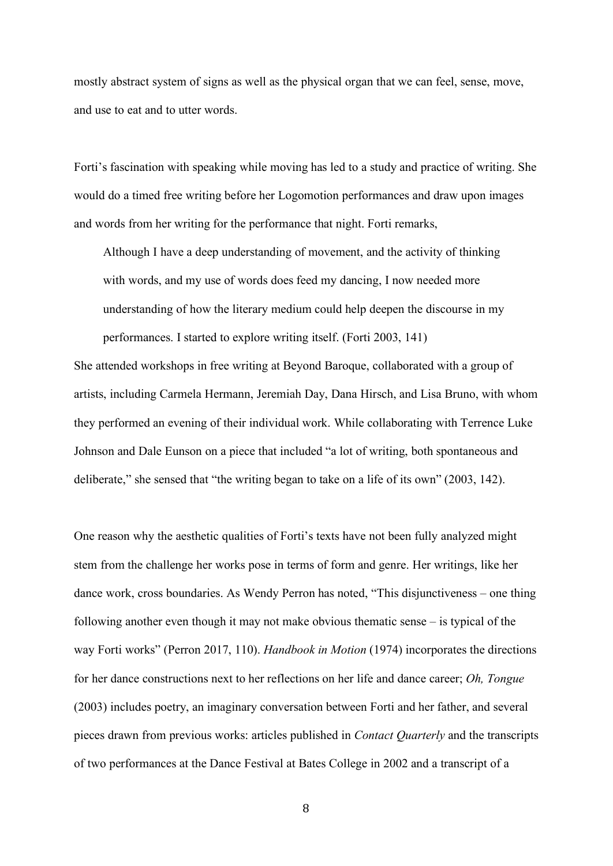mostly abstract system of signs as well as the physical organ that we can feel, sense, move, and use to eat and to utter words.

Forti's fascination with speaking while moving has led to a study and practice of writing. She would do a timed free writing before her Logomotion performances and draw upon images and words from her writing for the performance that night. Forti remarks,

Although I have a deep understanding of movement, and the activity of thinking with words, and my use of words does feed my dancing, I now needed more understanding of how the literary medium could help deepen the discourse in my performances. I started to explore writing itself. (Forti 2003, 141)

She attended workshops in free writing at Beyond Baroque, collaborated with a group of artists, including Carmela Hermann, Jeremiah Day, Dana Hirsch, and Lisa Bruno, with whom they performed an evening of their individual work. While collaborating with Terrence Luke Johnson and Dale Eunson on a piece that included "a lot of writing, both spontaneous and deliberate," she sensed that "the writing began to take on a life of its own" (2003, 142).

One reason why the aesthetic qualities of Forti's texts have not been fully analyzed might stem from the challenge her works pose in terms of form and genre. Her writings, like her dance work, cross boundaries. As Wendy Perron has noted, "This disjunctiveness – one thing following another even though it may not make obvious thematic sense – is typical of the way Forti works" (Perron 2017, 110). *Handbook in Motion* (1974) incorporates the directions for her dance constructions next to her reflections on her life and dance career; *Oh, Tongue* (2003) includes poetry, an imaginary conversation between Forti and her father, and several pieces drawn from previous works: articles published in *Contact Quarterly* and the transcripts of two performances at the Dance Festival at Bates College in 2002 and a transcript of a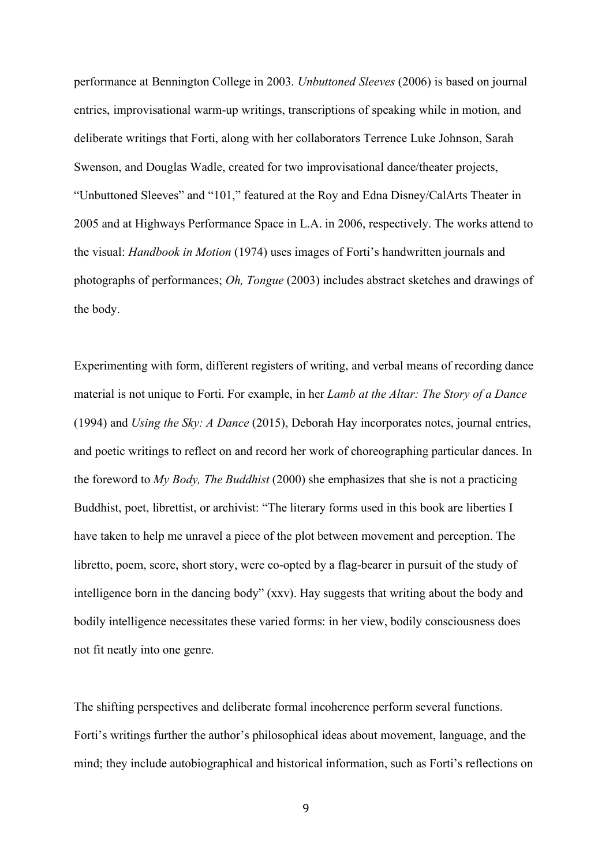performance at Bennington College in 2003. *Unbuttoned Sleeves* (2006) is based on journal entries, improvisational warm-up writings, transcriptions of speaking while in motion, and deliberate writings that Forti, along with her collaborators Terrence Luke Johnson, Sarah Swenson, and Douglas Wadle, created for two improvisational dance/theater projects, "Unbuttoned Sleeves" and "101," featured at the Roy and Edna Disney/CalArts Theater in 2005 and at Highways Performance Space in L.A. in 2006, respectively. The works attend to the visual: *Handbook in Motion* (1974) uses images of Forti's handwritten journals and photographs of performances; *Oh, Tongue* (2003) includes abstract sketches and drawings of the body.

Experimenting with form, different registers of writing, and verbal means of recording dance material is not unique to Forti. For example, in her *Lamb at the Altar: The Story of a Dance* (1994) and *Using the Sky: A Dance* (2015), Deborah Hay incorporates notes, journal entries, and poetic writings to reflect on and record her work of choreographing particular dances. In the foreword to *My Body, The Buddhist* (2000) she emphasizes that she is not a practicing Buddhist, poet, librettist, or archivist: "The literary forms used in this book are liberties I have taken to help me unravel a piece of the plot between movement and perception. The libretto, poem, score, short story, were co-opted by a flag-bearer in pursuit of the study of intelligence born in the dancing body" (xxv). Hay suggests that writing about the body and bodily intelligence necessitates these varied forms: in her view, bodily consciousness does not fit neatly into one genre.

The shifting perspectives and deliberate formal incoherence perform several functions. Forti's writings further the author's philosophical ideas about movement, language, and the mind; they include autobiographical and historical information, such as Forti's reflections on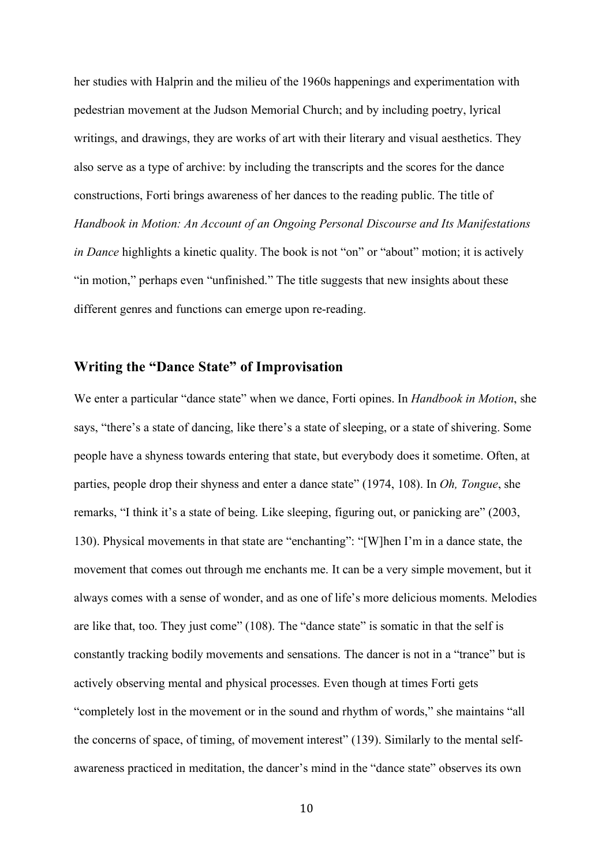her studies with Halprin and the milieu of the 1960s happenings and experimentation with pedestrian movement at the Judson Memorial Church; and by including poetry, lyrical writings, and drawings, they are works of art with their literary and visual aesthetics. They also serve as a type of archive: by including the transcripts and the scores for the dance constructions, Forti brings awareness of her dances to the reading public. The title of *Handbook in Motion: An Account of an Ongoing Personal Discourse and Its Manifestations in Dance* highlights a kinetic quality. The book is not "on" or "about" motion; it is actively "in motion," perhaps even "unfinished." The title suggests that new insights about these different genres and functions can emerge upon re-reading.

## **Writing the "Dance State" of Improvisation**

We enter a particular "dance state" when we dance, Forti opines. In *Handbook in Motion*, she says, "there's a state of dancing, like there's a state of sleeping, or a state of shivering. Some people have a shyness towards entering that state, but everybody does it sometime. Often, at parties, people drop their shyness and enter a dance state" (1974, 108). In *Oh, Tongue*, she remarks, "I think it's a state of being. Like sleeping, figuring out, or panicking are" (2003, 130). Physical movements in that state are "enchanting": "[W]hen I'm in a dance state, the movement that comes out through me enchants me. It can be a very simple movement, but it always comes with a sense of wonder, and as one of life's more delicious moments. Melodies are like that, too. They just come" (108). The "dance state" is somatic in that the self is constantly tracking bodily movements and sensations. The dancer is not in a "trance" but is actively observing mental and physical processes. Even though at times Forti gets "completely lost in the movement or in the sound and rhythm of words," she maintains "all the concerns of space, of timing, of movement interest" (139). Similarly to the mental selfawareness practiced in meditation, the dancer's mind in the "dance state" observes its own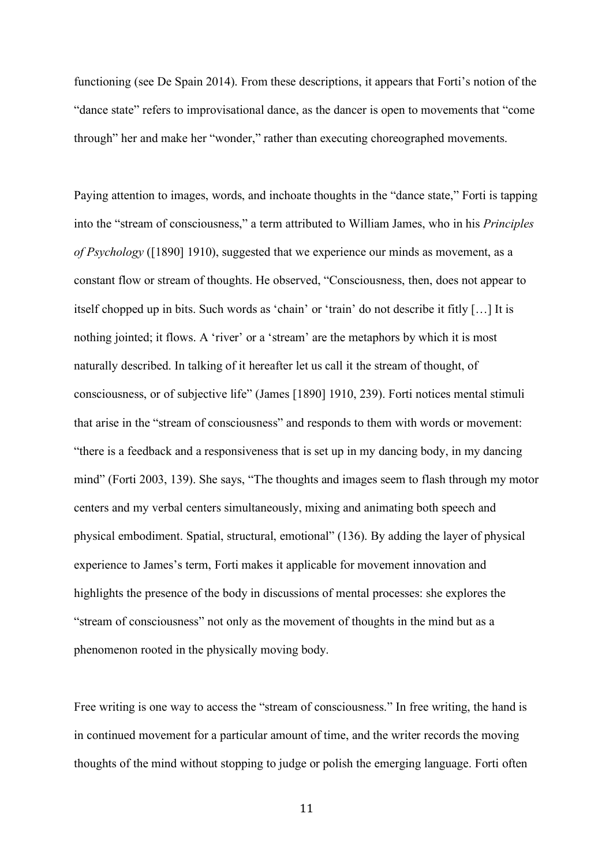functioning (see De Spain 2014). From these descriptions, it appears that Forti's notion of the "dance state" refers to improvisational dance, as the dancer is open to movements that "come through" her and make her "wonder," rather than executing choreographed movements.

Paying attention to images, words, and inchoate thoughts in the "dance state," Forti is tapping into the "stream of consciousness," a term attributed to William James, who in his *Principles of Psychology* ([1890] 1910), suggested that we experience our minds as movement, as a constant flow or stream of thoughts. He observed, "Consciousness, then, does not appear to itself chopped up in bits. Such words as 'chain' or 'train' do not describe it fitly […] It is nothing jointed; it flows. A 'river' or a 'stream' are the metaphors by which it is most naturally described. In talking of it hereafter let us call it the stream of thought, of consciousness, or of subjective life" (James [1890] 1910, 239). Forti notices mental stimuli that arise in the "stream of consciousness" and responds to them with words or movement: "there is a feedback and a responsiveness that is set up in my dancing body, in my dancing mind" (Forti 2003, 139). She says, "The thoughts and images seem to flash through my motor centers and my verbal centers simultaneously, mixing and animating both speech and physical embodiment. Spatial, structural, emotional" (136). By adding the layer of physical experience to James's term, Forti makes it applicable for movement innovation and highlights the presence of the body in discussions of mental processes: she explores the "stream of consciousness" not only as the movement of thoughts in the mind but as a phenomenon rooted in the physically moving body.

Free writing is one way to access the "stream of consciousness." In free writing, the hand is in continued movement for a particular amount of time, and the writer records the moving thoughts of the mind without stopping to judge or polish the emerging language. Forti often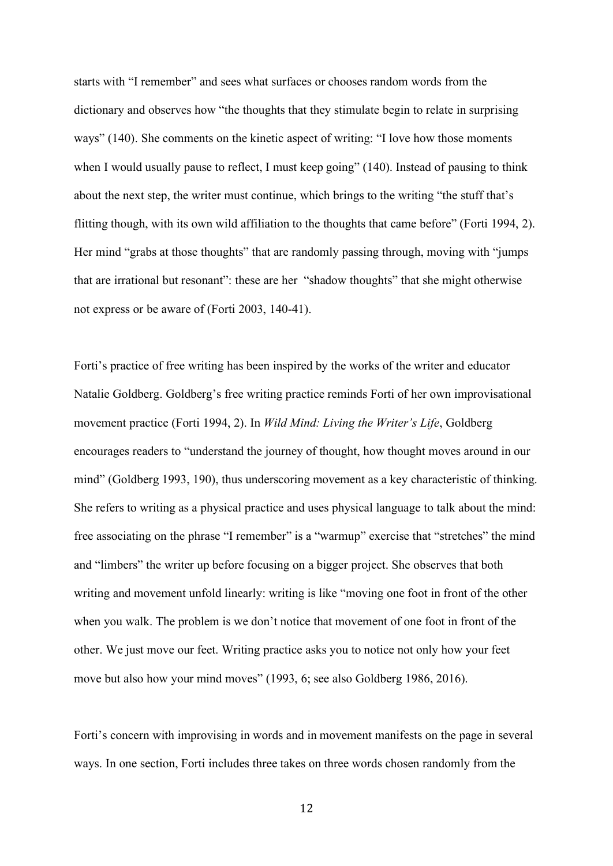starts with "I remember" and sees what surfaces or chooses random words from the dictionary and observes how "the thoughts that they stimulate begin to relate in surprising ways" (140). She comments on the kinetic aspect of writing: "I love how those moments when I would usually pause to reflect, I must keep going" (140). Instead of pausing to think about the next step, the writer must continue, which brings to the writing "the stuff that's flitting though, with its own wild affiliation to the thoughts that came before" (Forti 1994, 2). Her mind "grabs at those thoughts" that are randomly passing through, moving with "jumps" that are irrational but resonant": these are her "shadow thoughts" that she might otherwise not express or be aware of (Forti 2003, 140-41).

Forti's practice of free writing has been inspired by the works of the writer and educator Natalie Goldberg. Goldberg's free writing practice reminds Forti of her own improvisational movement practice (Forti 1994, 2). In *Wild Mind: Living the Writer's Life*, Goldberg encourages readers to "understand the journey of thought, how thought moves around in our mind" (Goldberg 1993, 190), thus underscoring movement as a key characteristic of thinking. She refers to writing as a physical practice and uses physical language to talk about the mind: free associating on the phrase "I remember" is a "warmup" exercise that "stretches" the mind and "limbers" the writer up before focusing on a bigger project. She observes that both writing and movement unfold linearly: writing is like "moving one foot in front of the other when you walk. The problem is we don't notice that movement of one foot in front of the other. We just move our feet. Writing practice asks you to notice not only how your feet move but also how your mind moves" (1993, 6; see also Goldberg 1986, 2016).

Forti's concern with improvising in words and in movement manifests on the page in several ways. In one section, Forti includes three takes on three words chosen randomly from the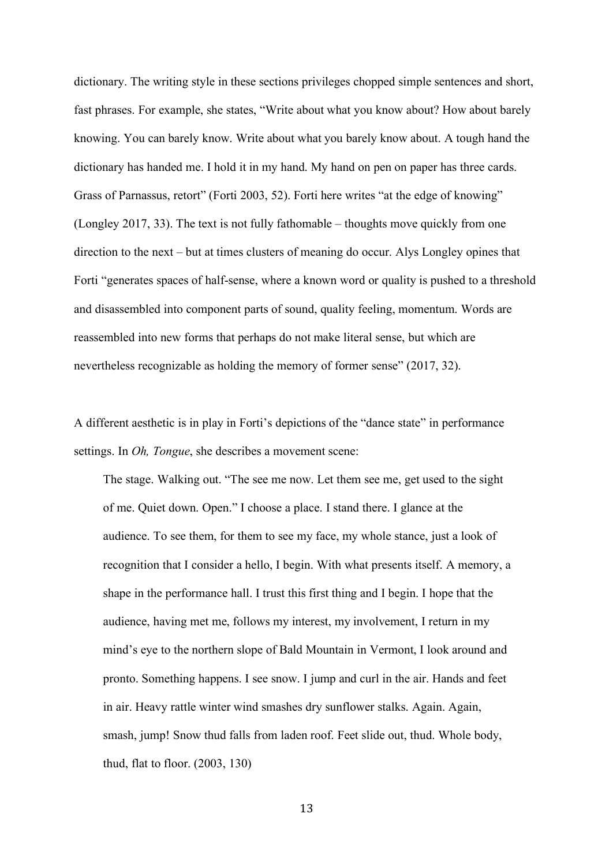dictionary. The writing style in these sections privileges chopped simple sentences and short, fast phrases. For example, she states, "Write about what you know about? How about barely knowing. You can barely know. Write about what you barely know about. A tough hand the dictionary has handed me. I hold it in my hand. My hand on pen on paper has three cards. Grass of Parnassus, retort" (Forti 2003, 52). Forti here writes "at the edge of knowing" (Longley 2017, 33). The text is not fully fathomable – thoughts move quickly from one direction to the next – but at times clusters of meaning do occur. Alys Longley opines that Forti "generates spaces of half-sense, where a known word or quality is pushed to a threshold and disassembled into component parts of sound, quality feeling, momentum. Words are reassembled into new forms that perhaps do not make literal sense, but which are nevertheless recognizable as holding the memory of former sense" (2017, 32).

A different aesthetic is in play in Forti's depictions of the "dance state" in performance settings. In *Oh, Tongue*, she describes a movement scene:

The stage. Walking out. "The see me now. Let them see me, get used to the sight of me. Quiet down. Open." I choose a place. I stand there. I glance at the audience. To see them, for them to see my face, my whole stance, just a look of recognition that I consider a hello, I begin. With what presents itself. A memory, a shape in the performance hall. I trust this first thing and I begin. I hope that the audience, having met me, follows my interest, my involvement, I return in my mind's eye to the northern slope of Bald Mountain in Vermont, I look around and pronto. Something happens. I see snow. I jump and curl in the air. Hands and feet in air. Heavy rattle winter wind smashes dry sunflower stalks. Again. Again, smash, jump! Snow thud falls from laden roof. Feet slide out, thud. Whole body, thud, flat to floor. (2003, 130)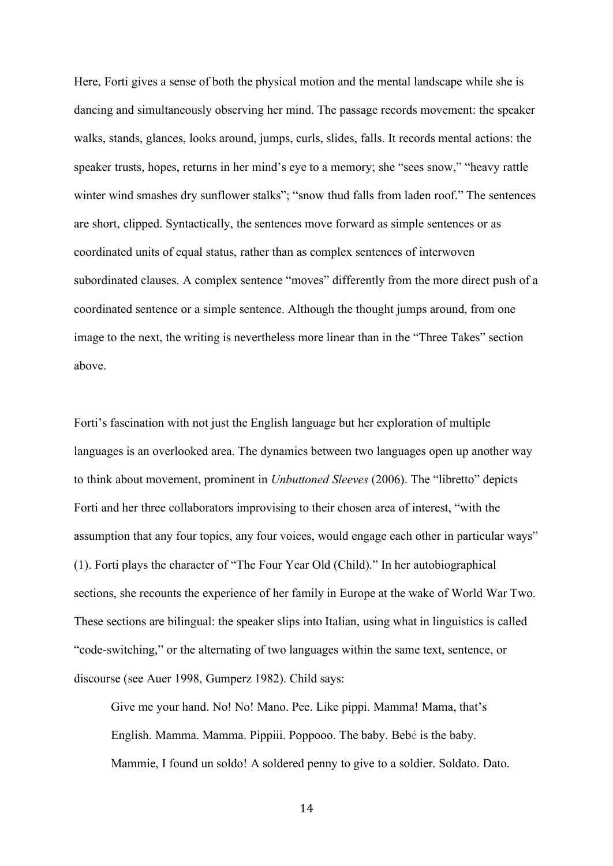Here, Forti gives a sense of both the physical motion and the mental landscape while she is dancing and simultaneously observing her mind. The passage records movement: the speaker walks, stands, glances, looks around, jumps, curls, slides, falls. It records mental actions: the speaker trusts, hopes, returns in her mind's eye to a memory; she "sees snow," "heavy rattle winter wind smashes dry sunflower stalks"; "snow thud falls from laden roof." The sentences are short, clipped. Syntactically, the sentences move forward as simple sentences or as coordinated units of equal status, rather than as complex sentences of interwoven subordinated clauses. A complex sentence "moves" differently from the more direct push of a coordinated sentence or a simple sentence. Although the thought jumps around, from one image to the next, the writing is nevertheless more linear than in the "Three Takes" section above.

Forti's fascination with not just the English language but her exploration of multiple languages is an overlooked area. The dynamics between two languages open up another way to think about movement, prominent in *Unbuttoned Sleeves* (2006). The "libretto" depicts Forti and her three collaborators improvising to their chosen area of interest, "with the assumption that any four topics, any four voices, would engage each other in particular ways" (1). Forti plays the character of "The Four Year Old (Child)." In her autobiographical sections, she recounts the experience of her family in Europe at the wake of World War Two. These sections are bilingual: the speaker slips into Italian, using what in linguistics is called "code-switching," or the alternating of two languages within the same text, sentence, or discourse (see Auer 1998, Gumperz 1982). Child says:

Give me your hand. No! No! Mano. Pee. Like pippi. Mamma! Mama, that's English. Mamma. Mamma. Pippiii. Poppooo. The baby. Bebé is the baby. Mammie, I found un soldo! A soldered penny to give to a soldier. Soldato. Dato.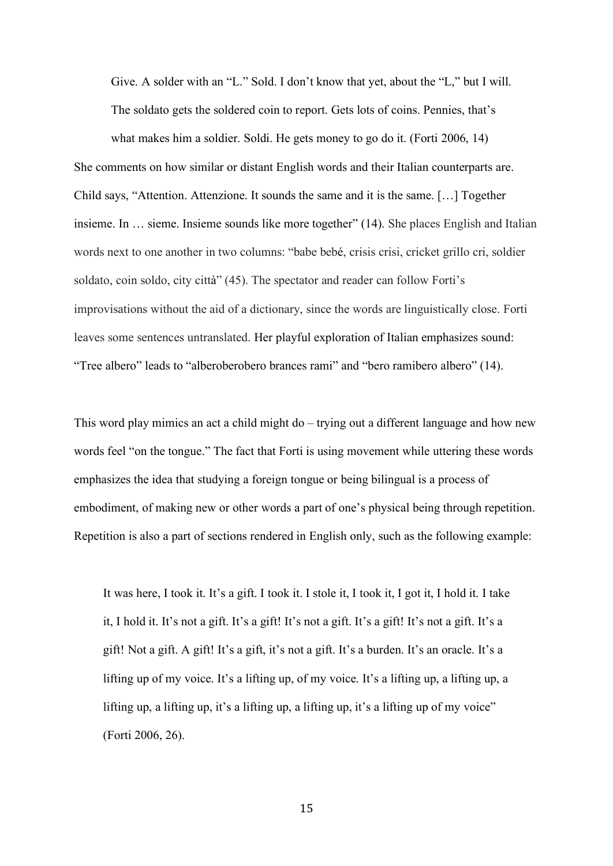Give. A solder with an "L." Sold. I don't know that yet, about the "L," but I will.

The soldato gets the soldered coin to report. Gets lots of coins. Pennies, that's

what makes him a soldier. Soldi. He gets money to go do it. (Forti 2006, 14) She comments on how similar or distant English words and their Italian counterparts are. Child says, "Attention. Attenzione. It sounds the same and it is the same. […] Together insieme. In … sieme. Insieme sounds like more together" (14). She places English and Italian words next to one another in two columns: "babe bebé, crisis crisi, cricket grillo cri, soldier soldato, coin soldo, city città" (45). The spectator and reader can follow Forti's improvisations without the aid of a dictionary, since the words are linguistically close. Forti leaves some sentences untranslated. Her playful exploration of Italian emphasizes sound: "Tree albero" leads to "alberoberobero brances rami" and "bero ramibero albero" (14).

This word play mimics an act a child might do – trying out a different language and how new words feel "on the tongue." The fact that Forti is using movement while uttering these words emphasizes the idea that studying a foreign tongue or being bilingual is a process of embodiment, of making new or other words a part of one's physical being through repetition. Repetition is also a part of sections rendered in English only, such as the following example:

It was here, I took it. It's a gift. I took it. I stole it, I took it, I got it, I hold it. I take it, I hold it. It's not a gift. It's a gift! It's not a gift. It's a gift! It's not a gift. It's a gift! Not a gift. A gift! It's a gift, it's not a gift. It's a burden. It's an oracle. It's a lifting up of my voice. It's a lifting up, of my voice. It's a lifting up, a lifting up, a lifting up, a lifting up, it's a lifting up, a lifting up, it's a lifting up of my voice" (Forti 2006, 26).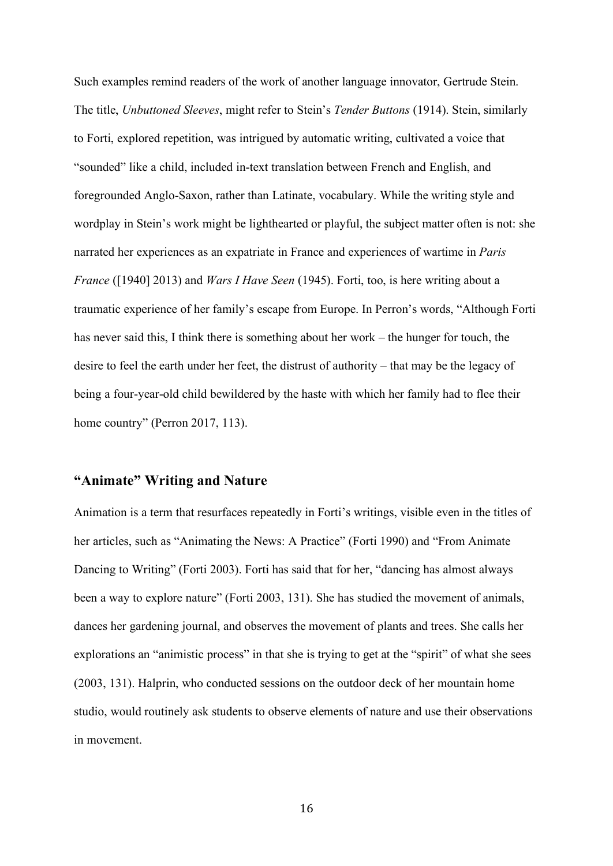Such examples remind readers of the work of another language innovator, Gertrude Stein. The title, *Unbuttoned Sleeves*, might refer to Stein's *Tender Buttons* (1914). Stein, similarly to Forti, explored repetition, was intrigued by automatic writing, cultivated a voice that "sounded" like a child, included in-text translation between French and English, and foregrounded Anglo-Saxon, rather than Latinate, vocabulary. While the writing style and wordplay in Stein's work might be lighthearted or playful, the subject matter often is not: she narrated her experiences as an expatriate in France and experiences of wartime in *Paris France* ([1940] 2013) and *Wars I Have Seen* (1945). Forti, too, is here writing about a traumatic experience of her family's escape from Europe. In Perron's words, "Although Forti has never said this, I think there is something about her work – the hunger for touch, the desire to feel the earth under her feet, the distrust of authority – that may be the legacy of being a four-year-old child bewildered by the haste with which her family had to flee their home country" (Perron 2017, 113).

## **"Animate" Writing and Nature**

Animation is a term that resurfaces repeatedly in Forti's writings, visible even in the titles of her articles, such as "Animating the News: A Practice" (Forti 1990) and "From Animate Dancing to Writing" (Forti 2003). Forti has said that for her, "dancing has almost always been a way to explore nature" (Forti 2003, 131). She has studied the movement of animals, dances her gardening journal, and observes the movement of plants and trees. She calls her explorations an "animistic process" in that she is trying to get at the "spirit" of what she sees (2003, 131). Halprin, who conducted sessions on the outdoor deck of her mountain home studio, would routinely ask students to observe elements of nature and use their observations in movement.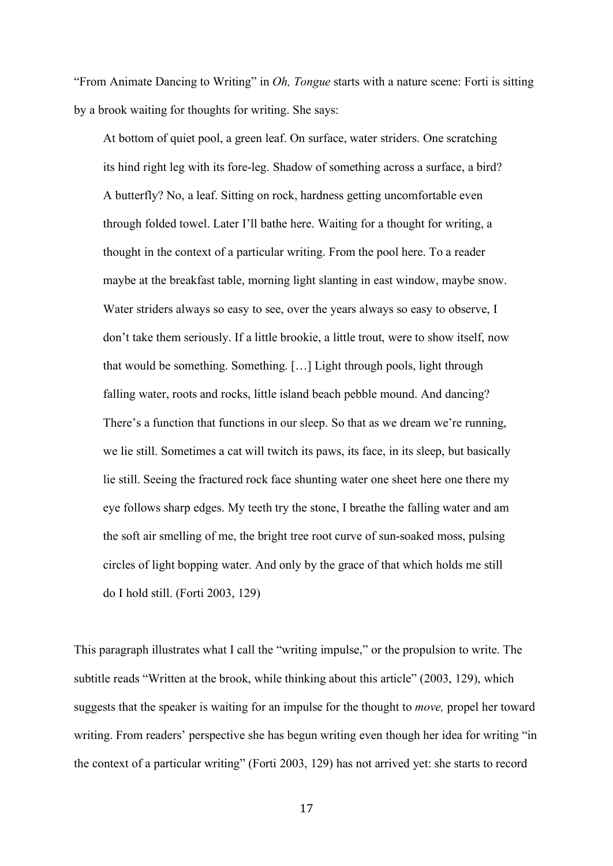"From Animate Dancing to Writing" in *Oh, Tongue* starts with a nature scene: Forti is sitting by a brook waiting for thoughts for writing. She says:

At bottom of quiet pool, a green leaf. On surface, water striders. One scratching its hind right leg with its fore-leg. Shadow of something across a surface, a bird? A butterfly? No, a leaf. Sitting on rock, hardness getting uncomfortable even through folded towel. Later I'll bathe here. Waiting for a thought for writing, a thought in the context of a particular writing. From the pool here. To a reader maybe at the breakfast table, morning light slanting in east window, maybe snow. Water striders always so easy to see, over the years always so easy to observe, I don't take them seriously. If a little brookie, a little trout, were to show itself, now that would be something. Something. […] Light through pools, light through falling water, roots and rocks, little island beach pebble mound. And dancing? There's a function that functions in our sleep. So that as we dream we're running, we lie still. Sometimes a cat will twitch its paws, its face, in its sleep, but basically lie still. Seeing the fractured rock face shunting water one sheet here one there my eye follows sharp edges. My teeth try the stone, I breathe the falling water and am the soft air smelling of me, the bright tree root curve of sun-soaked moss, pulsing circles of light bopping water. And only by the grace of that which holds me still do I hold still. (Forti 2003, 129)

This paragraph illustrates what I call the "writing impulse," or the propulsion to write. The subtitle reads "Written at the brook, while thinking about this article" (2003, 129), which suggests that the speaker is waiting for an impulse for the thought to *move,* propel her toward writing. From readers' perspective she has begun writing even though her idea for writing "in the context of a particular writing" (Forti 2003, 129) has not arrived yet: she starts to record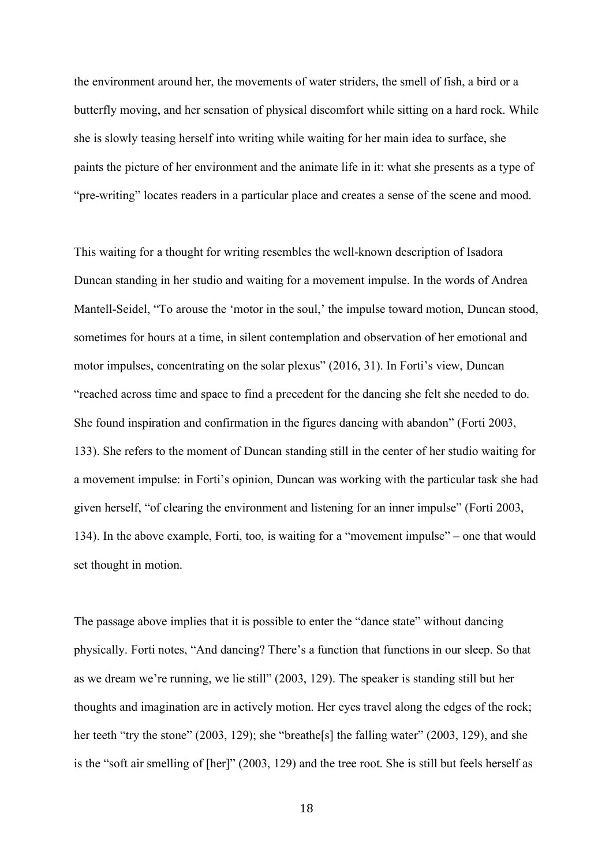the environment around her, the movements of water striders, the smell of fish, a bird or a butterfly moving, and her sensation of physical discomfort while sitting on a hard rock. While she is slowly teasing herself into writing while waiting for her main idea to surface, she paints the picture of her environment and the animate life in it: what she presents as a type of "pre-writing" locates readers in a particular place and creates a sense of the scene and mood.

This waiting for a thought for writing resembles the well-known description of Isadora Duncan standing in her studio and waiting for a movement impulse. In the words of Andrea Mantell-Seidel, "To arouse the 'motor in the soul,' the impulse toward motion, Duncan stood, sometimes for hours at a time, in silent contemplation and observation of her emotional and motor impulses, concentrating on the solar plexus" (2016, 31). In Forti's view, Duncan "reached across time and space to find a precedent for the dancing she felt she needed to do. She found inspiration and confirmation in the figures dancing with abandon" (Forti 2003, 133). She refers to the moment of Duncan standing still in the center of her studio waiting for a movement impulse: in Forti's opinion, Duncan was working with the particular task she had given herself, "of clearing the environment and listening for an inner impulse" (Forti 2003, 134). In the above example, Forti, too, is waiting for a "movement impulse" – one that would set thought in motion.

The passage above implies that it is possible to enter the "dance state" without dancing physically. Forti notes, "And dancing? There's a function that functions in our sleep. So that as we dream we're running, we lie still" (2003, 129). The speaker is standing still but her thoughts and imagination are in actively motion. Her eyes travel along the edges of the rock; her teeth "try the stone" (2003, 129); she "breathe<sup>[s]</sup> the falling water" (2003, 129), and she is the "soft air smelling of [her]" (2003, 129) and the tree root. She is still but feels herself as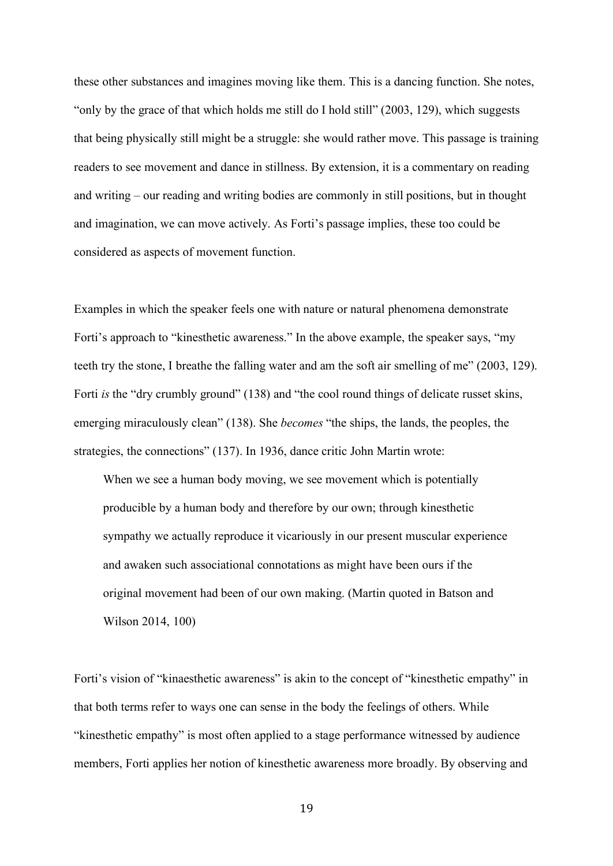these other substances and imagines moving like them. This is a dancing function. She notes, "only by the grace of that which holds me still do I hold still" (2003, 129), which suggests that being physically still might be a struggle: she would rather move. This passage is training readers to see movement and dance in stillness. By extension, it is a commentary on reading and writing – our reading and writing bodies are commonly in still positions, but in thought and imagination, we can move actively. As Forti's passage implies, these too could be considered as aspects of movement function.

Examples in which the speaker feels one with nature or natural phenomena demonstrate Forti's approach to "kinesthetic awareness." In the above example, the speaker says, "my teeth try the stone, I breathe the falling water and am the soft air smelling of me" (2003, 129). Forti *is* the "dry crumbly ground" (138) and "the cool round things of delicate russet skins, emerging miraculously clean" (138). She *becomes* "the ships, the lands, the peoples, the strategies, the connections" (137). In 1936, dance critic John Martin wrote:

When we see a human body moving, we see movement which is potentially producible by a human body and therefore by our own; through kinesthetic sympathy we actually reproduce it vicariously in our present muscular experience and awaken such associational connotations as might have been ours if the original movement had been of our own making. (Martin quoted in Batson and Wilson 2014, 100)

Forti's vision of "kinaesthetic awareness" is akin to the concept of "kinesthetic empathy" in that both terms refer to ways one can sense in the body the feelings of others. While "kinesthetic empathy" is most often applied to a stage performance witnessed by audience members, Forti applies her notion of kinesthetic awareness more broadly. By observing and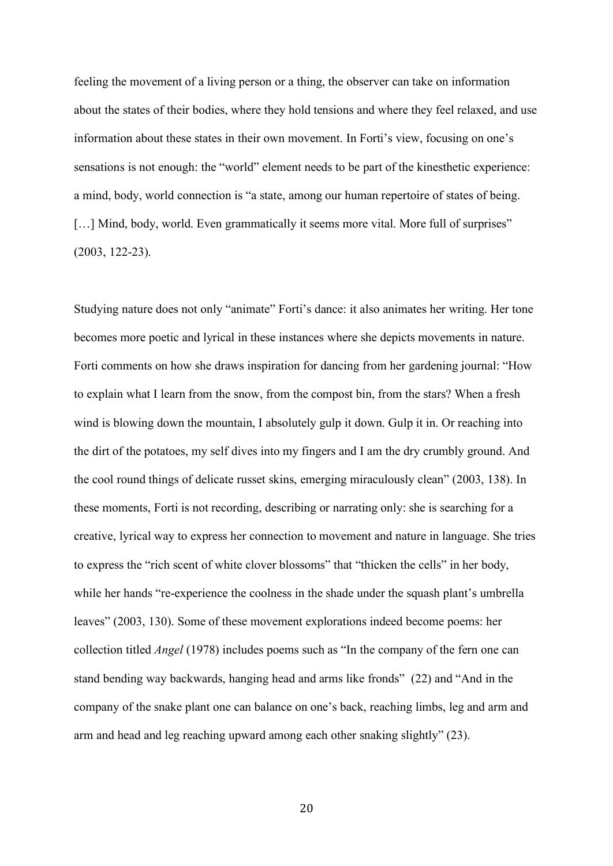feeling the movement of a living person or a thing, the observer can take on information about the states of their bodies, where they hold tensions and where they feel relaxed, and use information about these states in their own movement. In Forti's view, focusing on one's sensations is not enough: the "world" element needs to be part of the kinesthetic experience: a mind, body, world connection is "a state, among our human repertoire of states of being. [...] Mind, body, world. Even grammatically it seems more vital. More full of surprises" (2003, 122-23).

Studying nature does not only "animate" Forti's dance: it also animates her writing. Her tone becomes more poetic and lyrical in these instances where she depicts movements in nature. Forti comments on how she draws inspiration for dancing from her gardening journal: "How to explain what I learn from the snow, from the compost bin, from the stars? When a fresh wind is blowing down the mountain, I absolutely gulp it down. Gulp it in. Or reaching into the dirt of the potatoes, my self dives into my fingers and I am the dry crumbly ground. And the cool round things of delicate russet skins, emerging miraculously clean" (2003, 138). In these moments, Forti is not recording, describing or narrating only: she is searching for a creative, lyrical way to express her connection to movement and nature in language. She tries to express the "rich scent of white clover blossoms" that "thicken the cells" in her body, while her hands "re-experience the coolness in the shade under the squash plant's umbrella leaves" (2003, 130). Some of these movement explorations indeed become poems: her collection titled *Angel* (1978) includes poems such as "In the company of the fern one can stand bending way backwards, hanging head and arms like fronds" (22) and "And in the company of the snake plant one can balance on one's back, reaching limbs, leg and arm and arm and head and leg reaching upward among each other snaking slightly" (23).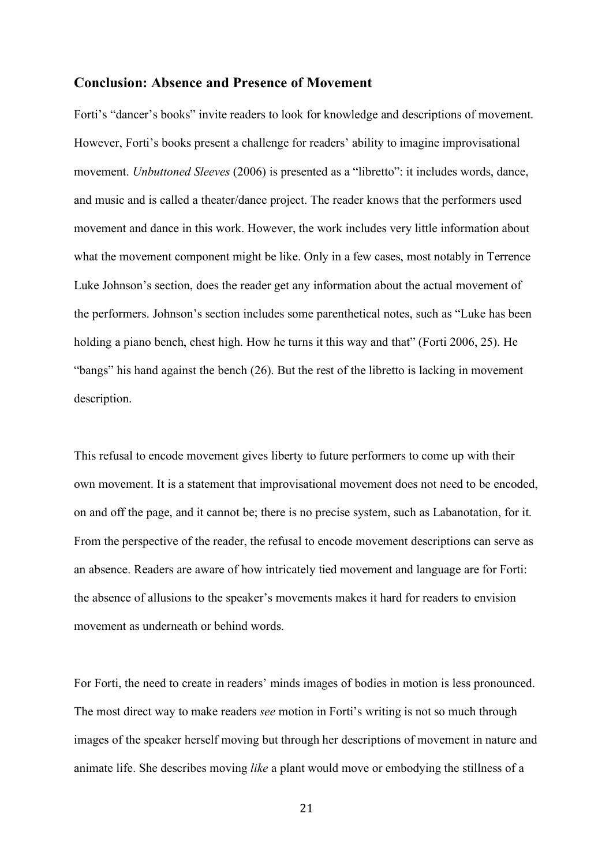#### **Conclusion: Absence and Presence of Movement**

Forti's "dancer's books" invite readers to look for knowledge and descriptions of movement. However, Forti's books present a challenge for readers' ability to imagine improvisational movement. *Unbuttoned Sleeves* (2006) is presented as a "libretto": it includes words, dance, and music and is called a theater/dance project. The reader knows that the performers used movement and dance in this work. However, the work includes very little information about what the movement component might be like. Only in a few cases, most notably in Terrence Luke Johnson's section, does the reader get any information about the actual movement of the performers. Johnson's section includes some parenthetical notes, such as "Luke has been holding a piano bench, chest high. How he turns it this way and that" (Forti 2006, 25). He "bangs" his hand against the bench (26). But the rest of the libretto is lacking in movement description.

This refusal to encode movement gives liberty to future performers to come up with their own movement. It is a statement that improvisational movement does not need to be encoded, on and off the page, and it cannot be; there is no precise system, such as Labanotation, for it. From the perspective of the reader, the refusal to encode movement descriptions can serve as an absence. Readers are aware of how intricately tied movement and language are for Forti: the absence of allusions to the speaker's movements makes it hard for readers to envision movement as underneath or behind words.

For Forti, the need to create in readers' minds images of bodies in motion is less pronounced. The most direct way to make readers *see* motion in Forti's writing is not so much through images of the speaker herself moving but through her descriptions of movement in nature and animate life. She describes moving *like* a plant would move or embodying the stillness of a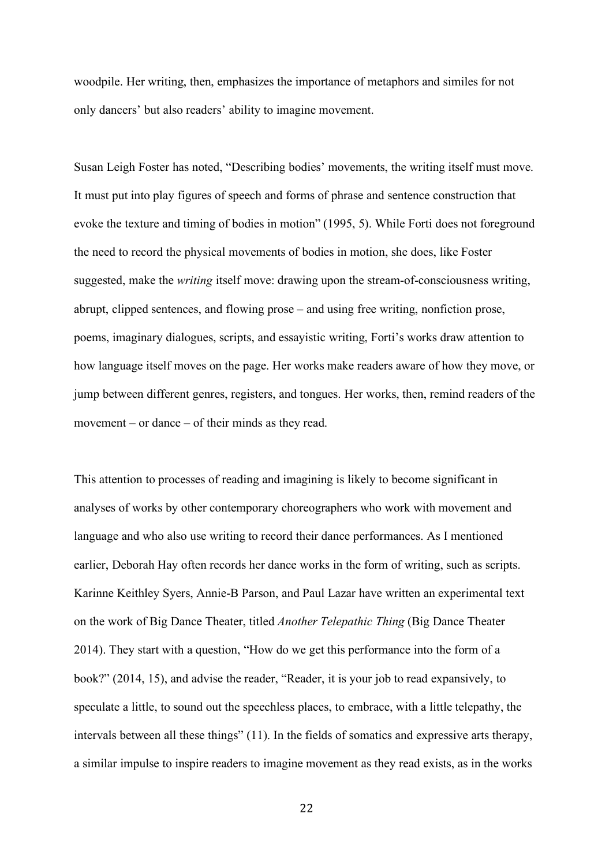woodpile. Her writing, then, emphasizes the importance of metaphors and similes for not only dancers' but also readers' ability to imagine movement.

Susan Leigh Foster has noted, "Describing bodies' movements, the writing itself must move. It must put into play figures of speech and forms of phrase and sentence construction that evoke the texture and timing of bodies in motion" (1995, 5). While Forti does not foreground the need to record the physical movements of bodies in motion, she does, like Foster suggested, make the *writing* itself move: drawing upon the stream-of-consciousness writing, abrupt, clipped sentences, and flowing prose – and using free writing, nonfiction prose, poems, imaginary dialogues, scripts, and essayistic writing, Forti's works draw attention to how language itself moves on the page. Her works make readers aware of how they move, or jump between different genres, registers, and tongues. Her works, then, remind readers of the movement – or dance – of their minds as they read.

This attention to processes of reading and imagining is likely to become significant in analyses of works by other contemporary choreographers who work with movement and language and who also use writing to record their dance performances. As I mentioned earlier, Deborah Hay often records her dance works in the form of writing, such as scripts. Karinne Keithley Syers, Annie-B Parson, and Paul Lazar have written an experimental text on the work of Big Dance Theater, titled *Another Telepathic Thing* (Big Dance Theater 2014). They start with a question, "How do we get this performance into the form of a book?" (2014, 15), and advise the reader, "Reader, it is your job to read expansively, to speculate a little, to sound out the speechless places, to embrace, with a little telepathy, the intervals between all these things" (11). In the fields of somatics and expressive arts therapy, a similar impulse to inspire readers to imagine movement as they read exists, as in the works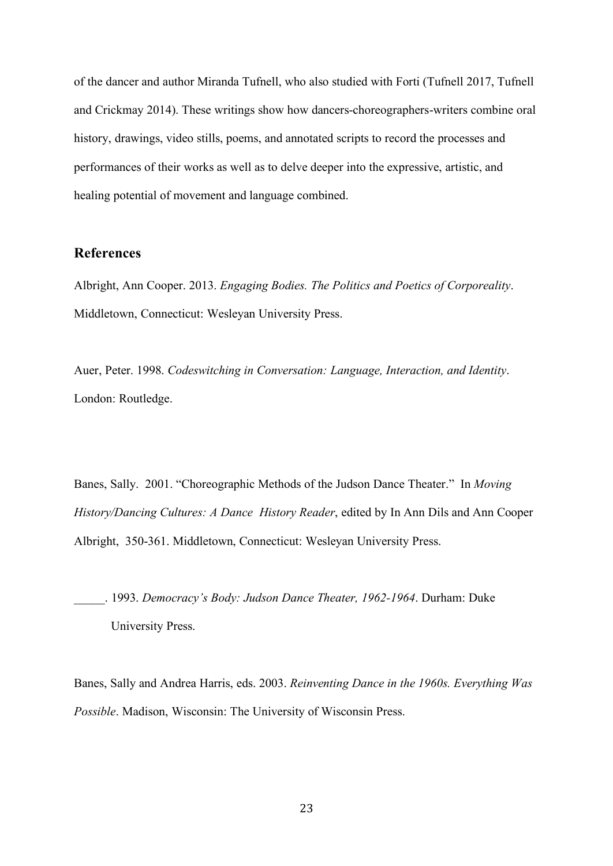of the dancer and author Miranda Tufnell, who also studied with Forti (Tufnell 2017, Tufnell and Crickmay 2014). These writings show how dancers-choreographers-writers combine oral history, drawings, video stills, poems, and annotated scripts to record the processes and performances of their works as well as to delve deeper into the expressive, artistic, and healing potential of movement and language combined.

### **References**

Albright, Ann Cooper. 2013. *Engaging Bodies. The Politics and Poetics of Corporeality*. Middletown, Connecticut: Wesleyan University Press.

Auer, Peter. 1998. *Codeswitching in Conversation: Language, Interaction, and Identity*. London: Routledge.

Banes, Sally. 2001. "Choreographic Methods of the Judson Dance Theater." In *Moving History/Dancing Cultures: A Dance History Reader*, edited by In Ann Dils and Ann Cooper Albright, 350-361. Middletown, Connecticut: Wesleyan University Press.

\_\_\_\_\_. 1993. *Democracy's Body: Judson Dance Theater, 1962-1964*. Durham: Duke University Press.

Banes, Sally and Andrea Harris, eds. 2003. *Reinventing Dance in the 1960s. Everything Was Possible*. Madison, Wisconsin: The University of Wisconsin Press.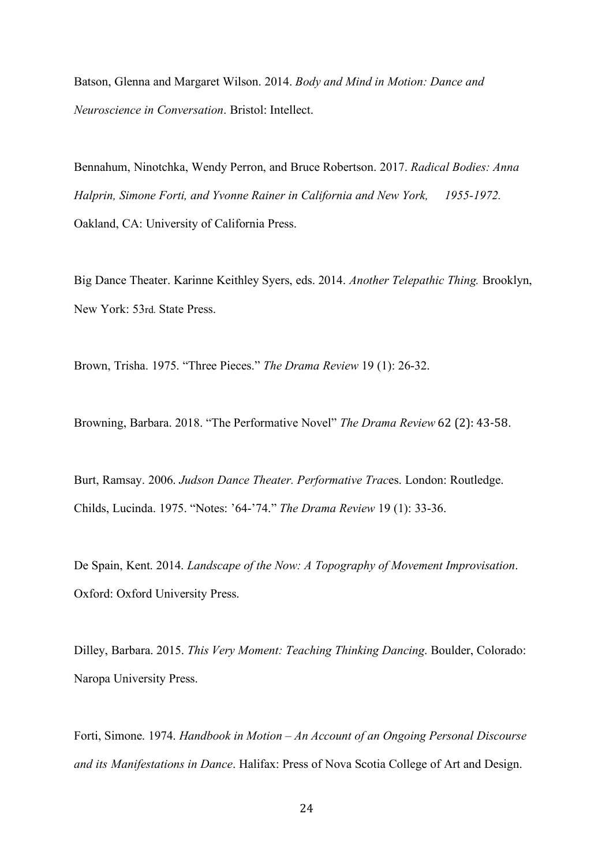Batson, Glenna and Margaret Wilson. 2014. *Body and Mind in Motion: Dance and Neuroscience in Conversation*. Bristol: Intellect.

Bennahum, Ninotchka, Wendy Perron, and Bruce Robertson. 2017. *Radical Bodies: Anna Halprin, Simone Forti, and Yvonne Rainer in California and New York, 1955-1972.* Oakland, CA: University of California Press.

Big Dance Theater. Karinne Keithley Syers, eds. 2014. *Another Telepathic Thing.* Brooklyn, New York: 53rd. State Press.

Brown, Trisha. 1975. "Three Pieces." *The Drama Review* 19 (1): 26-32.

Browning, Barbara. 2018. "The Performative Novel" *The Drama Review* 62 (2): 43-58.

Burt, Ramsay. 2006. *Judson Dance Theater. Performative Trac*es. London: Routledge. Childs, Lucinda. 1975. "Notes: '64-'74." *The Drama Review* 19 (1): 33-36.

De Spain, Kent. 2014. *Landscape of the Now: A Topography of Movement Improvisation*. Oxford: Oxford University Press.

Dilley, Barbara. 2015. *This Very Moment: Teaching Thinking Dancing*. Boulder, Colorado: Naropa University Press.

Forti, Simone. 1974. *Handbook in Motion – An Account of an Ongoing Personal Discourse and its Manifestations in Dance*. Halifax: Press of Nova Scotia College of Art and Design.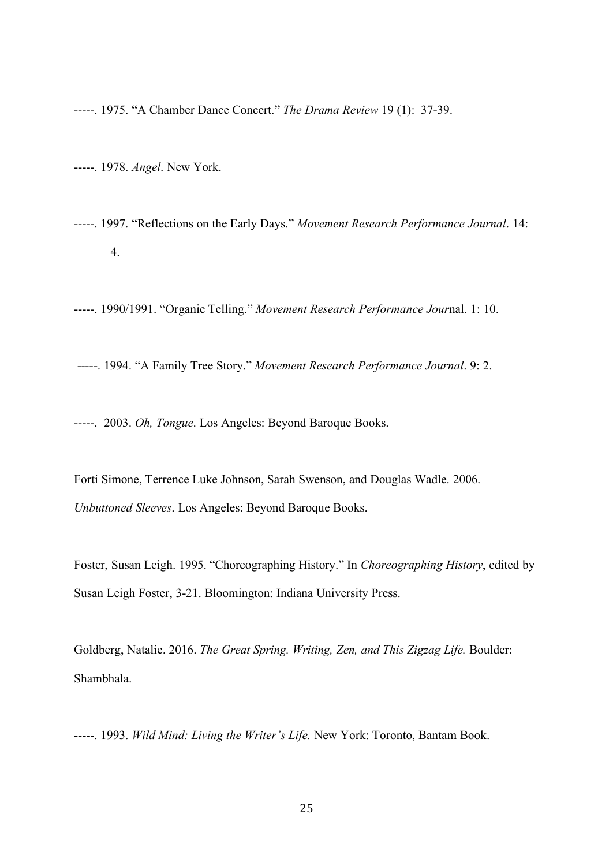-----. 1975. "A Chamber Dance Concert." *The Drama Review* 19 (1): 37-39.

- -----. 1978. *Angel*. New York.
- -----. 1997. "Reflections on the Early Days." *Movement Research Performance Journal*. 14: 4.

-----. 1990/1991. "Organic Telling." *Movement Research Performance Jour*nal. 1: 10.

-----. 1994. "A Family Tree Story." *Movement Research Performance Journal*. 9: 2.

-----. 2003. *Oh, Tongue*. Los Angeles: Beyond Baroque Books.

Forti Simone, Terrence Luke Johnson, Sarah Swenson, and Douglas Wadle. 2006. *Unbuttoned Sleeves*. Los Angeles: Beyond Baroque Books.

Foster, Susan Leigh. 1995. "Choreographing History." In *Choreographing History*, edited by Susan Leigh Foster, 3-21. Bloomington: Indiana University Press.

Goldberg, Natalie. 2016. *The Great Spring. Writing, Zen, and This Zigzag Life.* Boulder: Shambhala.

-----. 1993. *Wild Mind: Living the Writer's Life.* New York: Toronto, Bantam Book.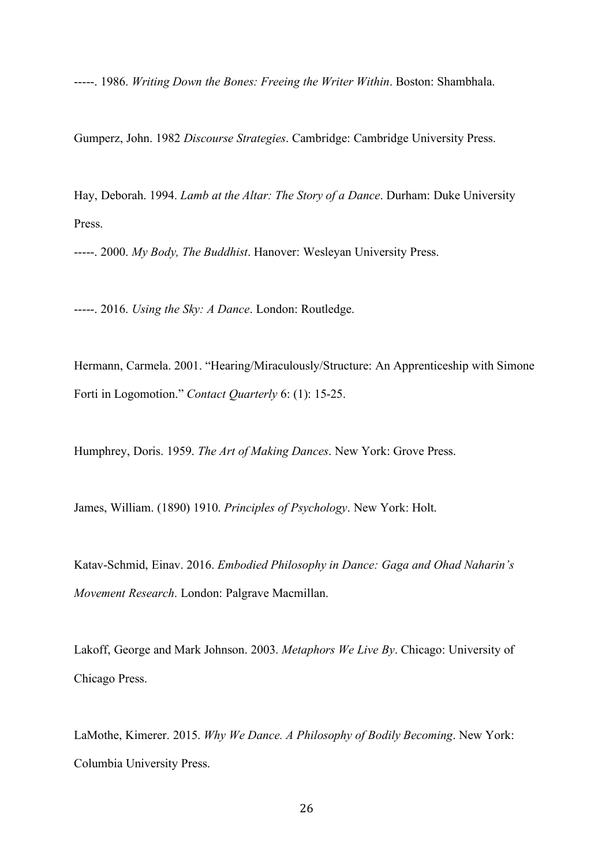-----. 1986. *Writing Down the Bones: Freeing the Writer Within*. Boston: Shambhala.

Gumperz, John. 1982 *Discourse Strategies*. Cambridge: Cambridge University Press.

Hay, Deborah. 1994. *Lamb at the Altar: The Story of a Dance*. Durham: Duke University Press.

-----. 2000. *My Body, The Buddhist*. Hanover: Wesleyan University Press.

-----. 2016. *Using the Sky: A Dance*. London: Routledge.

Hermann, Carmela. 2001. "Hearing/Miraculously/Structure: An Apprenticeship with Simone Forti in Logomotion." *Contact Quarterly* 6: (1): 15-25.

Humphrey, Doris. 1959. *The Art of Making Dances*. New York: Grove Press.

James, William. (1890) 1910. *Principles of Psychology*. New York: Holt.

Katav-Schmid, Einav. 2016. *Embodied Philosophy in Dance: Gaga and Ohad Naharin's Movement Research*. London: Palgrave Macmillan.

Lakoff, George and Mark Johnson. 2003. *Metaphors We Live By*. Chicago: University of Chicago Press.

LaMothe, Kimerer. 2015. *Why We Dance. A Philosophy of Bodily Becoming*. New York: Columbia University Press.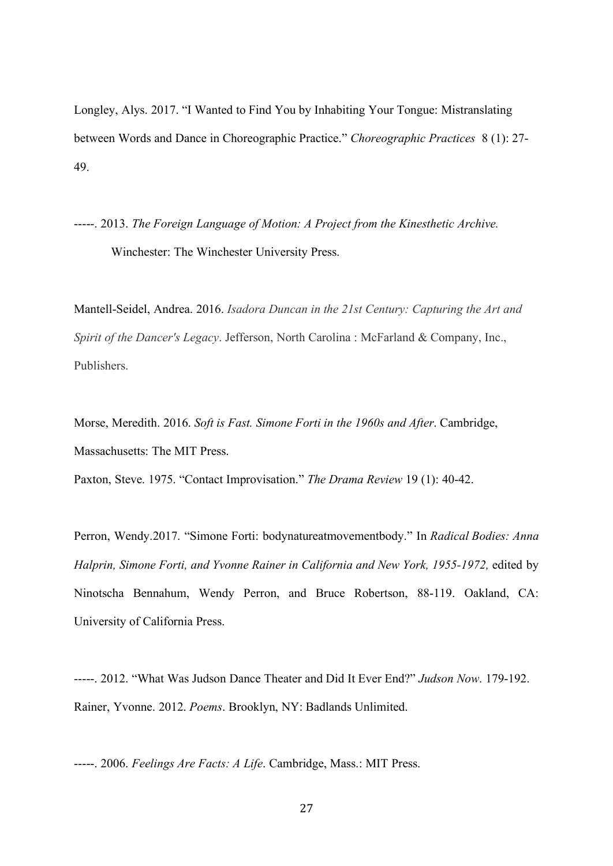Longley, Alys. 2017. "I Wanted to Find You by Inhabiting Your Tongue: Mistranslating between Words and Dance in Choreographic Practice." *Choreographic Practices* 8 (1): 27- 49.

-----. 2013. *The Foreign Language of Motion: A Project from the Kinesthetic Archive.*  Winchester: The Winchester University Press.

Mantell-Seidel, Andrea. 2016. *Isadora Duncan in the 21st Century: Capturing the Art and Spirit of the Dancer's Legacy*. Jefferson, North Carolina : McFarland & Company, Inc., Publishers.

Morse, Meredith. 2016. *Soft is Fast. Simone Forti in the 1960s and After*. Cambridge, Massachusetts: The MIT Press.

Paxton, Steve. 1975. "Contact Improvisation." *The Drama Review* 19 (1): 40-42.

Perron, Wendy.2017. "Simone Forti: bodynatureatmovementbody." In *Radical Bodies: Anna Halprin, Simone Forti, and Yvonne Rainer in California and New York, 1955-1972, edited by* Ninotscha Bennahum, Wendy Perron, and Bruce Robertson, 88-119. Oakland, CA: University of California Press.

-----. 2012. "What Was Judson Dance Theater and Did It Ever End?" *Judson Now*. 179-192. Rainer, Yvonne. 2012. *Poems*. Brooklyn, NY: Badlands Unlimited.

-----. 2006. *Feelings Are Facts: A Life*. Cambridge, Mass.: MIT Press.